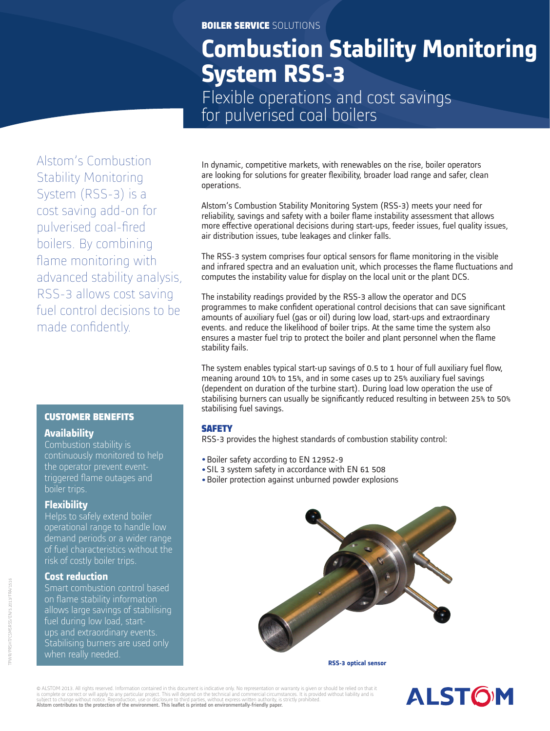### BOILER SERVICE SOLUTIONS

# **Combustion Stability Monitoring System RSS-3**

Flexible operations and cost savings for pulverised coal boilers

Alstom's Combustion Stability Monitoring System (RSS-3) is a cost saving add-on for pulverised coal-fired boilers. By combining flame monitoring with advanced stability analysis, RSS-3 allows cost saving fuel control decisions to be made confidently.

## CUSTOMER BENEFITS **Availability**

Combustion stability is continuously monitored to help the operator prevent eventtriggered flame outages and boiler trips.

### **Flexibility**

Helps to safely extend boiler operational range to handle low demand periods or a wider range of fuel characteristics without the risk of costly boiler trips.

### **Cost reduction**

Smart combustion control based on flame stability information allows large savings of stabilising fuel during low load, startups and extraordinary events. Stabilising burners are used only when really needed.

In dynamic, competitive markets, with renewables on the rise, boiler operators are looking for solutions for greater flexibility, broader load range and safer, clean operations.

Alstom's Combustion Stability Monitoring System (RSS-3) meets your need for reliability, savings and safety with a boiler flame instability assessment that allows more effective operational decisions during start-ups, feeder issues, fuel quality issues, air distribution issues, tube leakages and clinker falls.

The RSS-3 system comprises four optical sensors for flame monitoring in the visible and infrared spectra and an evaluation unit, which processes the flame fluctuations and computes the instability value for display on the local unit or the plant DCS.

The instability readings provided by the RSS-3 allow the operator and DCS programmes to make confident operational control decisions that can save significant amounts of auxiliary fuel (gas or oil) during low load, start-ups and extraordinary events. and reduce the likelihood of boiler trips. At the same time the system also ensures a master fuel trip to protect the boiler and plant personnel when the flame stability fails.

The system enables typical start-up savings of  $0.5$  to 1 hour of full auxiliary fuel flow, meaning around 10% to 15%, and in some cases up to 25% auxiliary fuel savings (dependent on duration of the turbine start). During load low operation the use of stabilising burners can usually be significantly reduced resulting in between 25% to 50% stabilising fuel savings.

## **SAFETY**

RSS-3 provides the highest standards of combustion stability control:

- Boiler safety according to EN 12952-9
- SIL 3 system safety in accordance with EN 61 508
- Boiler protection against unburned powder explosions



**RSS-3 optical sensor**

© ALSTOM 2013. All rights reserved. Information contained in this document is indicative only. No representation or warranty is given or should be relied on that it<br>is complete or correct or will apply to any particular pr Alstom contributes to the protection of the environment. This leaflet is printed on environmentally-friendly paper.

# **ALSTOM**